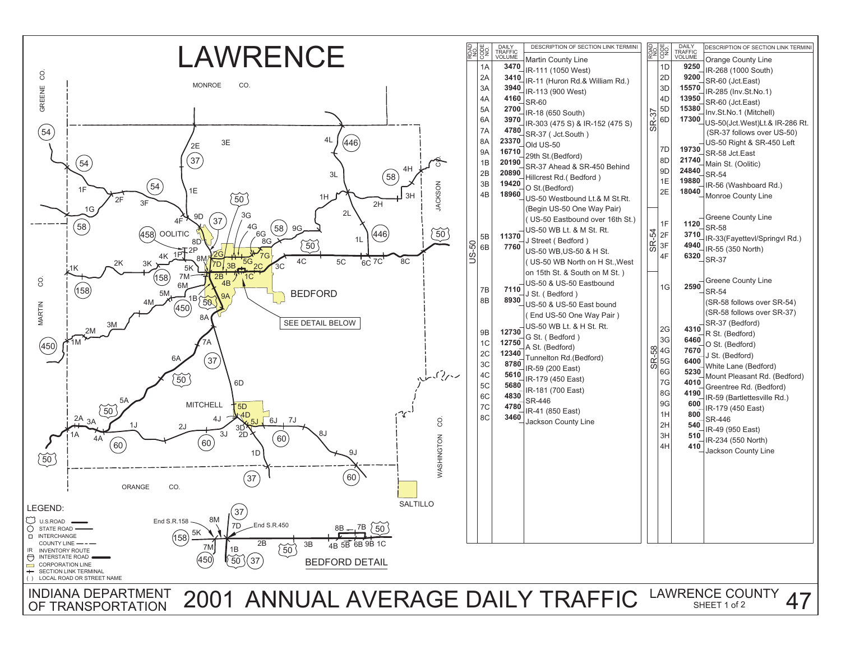